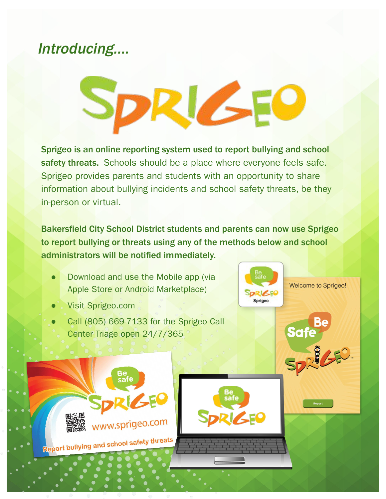## Introducing….



Sprigeo is an online reporting system used to report bullying and school safety threats. Schools should be a place where everyone feels safe. Sprigeo provides parents and students with an opportunity to share information about bullying incidents and school safety threats, be they in-person or virtual.

Bakersfield City School District students and parents can now use Sprigeo to report bullying or threats using any of the methods below and school administrators will be notified immediately.